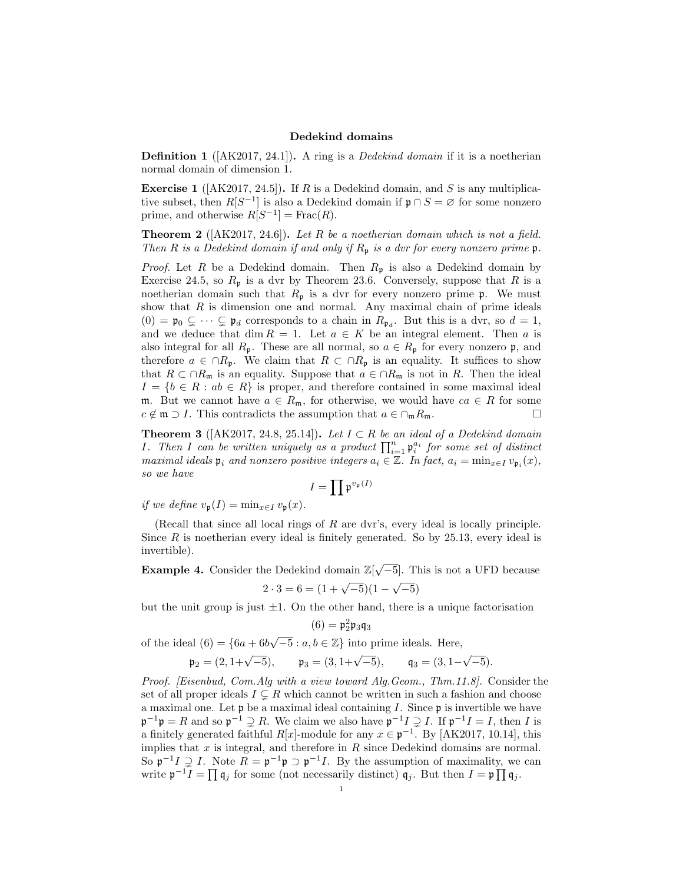## Dedekind domains

**Definition 1** ( $[AK2017, 24.1]$ ). A ring is a *Dedekind domain* if it is a noetherian normal domain of dimension 1.

**Exercise 1** ( $[AK2017, 24.5]$ ). If R is a Dedekind domain, and S is any multiplicative subset, then  $R[S^{-1}]$  is also a Dedekind domain if  $\mathfrak{p} \cap S = \varnothing$  for some nonzero prime, and otherwise  $R[S^{-1}] = \text{Frac}(R)$ .

**Theorem 2** ( $[AK2017, 24.6]$ ). Let R be a noetherian domain which is not a field. Then R is a Dedekind domain if and only if  $R_p$  is a dvr for every nonzero prime  $\mathfrak{p}$ .

*Proof.* Let R be a Dedekind domain. Then  $R_p$  is also a Dedekind domain by Exercise 24.5, so  $R_p$  is a dvr by Theorem 23.6. Conversely, suppose that R is a noetherian domain such that  $R_p$  is a dvr for every nonzero prime  $\mathfrak{p}$ . We must show that  $R$  is dimension one and normal. Any maximal chain of prime ideals  $(0) = \mathfrak{p}_0 \subsetneq \cdots \subsetneq \mathfrak{p}_d$  corresponds to a chain in  $R_{\mathfrak{p}_d}$ . But this is a dvr, so  $d = 1$ , and we deduce that dim  $R = 1$ . Let  $a \in K$  be an integral element. Then a is also integral for all  $R_p$ . These are all normal, so  $a \in R_p$  for every nonzero p, and therefore  $a \in \cap R_p$ . We claim that  $R \subset \cap R_p$  is an equality. It suffices to show that  $R \subset \cap R_{\mathfrak{m}}$  is an equality. Suppose that  $a \in \cap R_{\mathfrak{m}}$  is not in R. Then the ideal  $I = \{b \in R : ab \in R\}$  is proper, and therefore contained in some maximal ideal m. But we cannot have  $a \in R_m$ , for otherwise, we would have  $ca \in R$  for some  $c \notin \mathfrak{m} \supset I$ . This contradicts the assumption that  $a \in \bigcap_{\mathfrak{m}} R_{\mathfrak{m}}$ .

**Theorem 3** ([AK2017, 24.8, 25.14]). Let  $I \subset R$  be an ideal of a Dedekind domain *I*. Then *I* can be written uniquely as a product  $\prod_{i=1}^{n} \mathfrak{p}_i^{a_i}$  for some set of distinct maximal ideals  $\mathfrak{p}_i$  and nonzero positive integers  $a_i \in \mathbb{Z}$ . In fact,  $a_i = \min_{x \in I} v_{\mathfrak{p}_i}(x)$ , so we have

$$
I=\prod \mathfrak{p}^{v_{\mathfrak{p}}(I)}
$$

if we define  $v_{\mathfrak{p}}(I) = \min_{x \in I} v_{\mathfrak{p}}(x)$ .

(Recall that since all local rings of R are dvr's, every ideal is locally principle. Since  $R$  is noetherian every ideal is finitely generated. So by 25.13, every ideal is invertible).

**Example 4.** Consider the Dedekind domain  $\mathbb{Z}[\sqrt{-5}]$ . This is not a UFD because

$$
2 \cdot 3 = 6 = (1 + \sqrt{-5})(1 - \sqrt{-5})
$$

but the unit group is just  $\pm 1$ . On the other hand, there is a unique factorisation

$$
(6) = \mathfrak{p}_2^2 \mathfrak{p}_3 \mathfrak{q}_3
$$

of the ideal  $(6) = \{6a + 6b\sqrt{-5} : a, b \in \mathbb{Z}\}\$  into prime ideals. Here,

$$
\mathfrak{p}_2 = (2, 1 + \sqrt{-5}),
$$
\n $\mathfrak{p}_3 = (3, 1 + \sqrt{-5}),$ \n $\mathfrak{q}_3 = (3, 1 - \sqrt{-5}).$ 

Proof. [Eisenbud, Com.Alg with a view toward Alg.Geom., Thm.11.8]. Consider the set of all proper ideals  $I \subseteq R$  which cannot be written in such a fashion and choose a maximal one. Let  $\mathfrak p$  be a maximal ideal containing I. Since  $\mathfrak p$  is invertible we have  $\mathfrak{p}^{-1}\mathfrak{p} = R$  and so  $\mathfrak{p}^{-1} \supsetneq R$ . We claim we also have  $\mathfrak{p}^{-1}I \supsetneq I$ . If  $\mathfrak{p}^{-1}I = I$ , then I is a finitely generated faithful R[x]-module for any  $x \in \mathfrak{p}^{-1}$ . By [AK2017, 10.14], this implies that  $x$  is integral, and therefore in  $R$  since Dedekind domains are normal. So  $\mathfrak{p}^{-1}I \supsetneq I$ . Note  $R = \mathfrak{p}^{-1}\mathfrak{p} \supset \mathfrak{p}^{-1}I$ . By the assumption of maximality, we can write  $\mathfrak{p}^{-1}I = \prod \mathfrak{q}_j$  for some (not necessarily distinct)  $\mathfrak{q}_j$ . But then  $I = \mathfrak{p} \prod \mathfrak{q}_j$ .